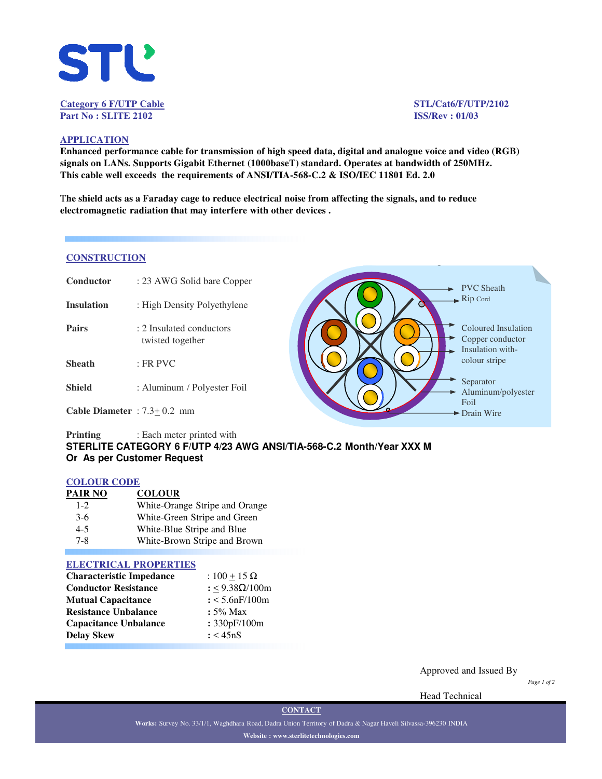

# **Part No : SLITE 2102 ISS/Rev : 01/03**

**Category 6 F/UTP Cable STL/Cat6/F/UTP/2102**

### **APPLICATION**

**Enhanced performance cable for transmission of high speed data, digital and analogue voice and video (RGB) signals on LANs. Supports Gigabit Ethernet (1000baseT) standard. Operates at bandwidth of 250MHz. This cable well exceeds the requirements of ANSI/TIA-568-C.2 & ISO/IEC 11801 Ed. 2.0**

T**he shield acts as a Faraday cage to reduce electrical noise from affecting the signals, and to reduce electromagnetic radiation that may interfere with other devices .**

### **CONSTRUCTION**

| Conductor                       | : 23 AWG Solid bare Copper                   | <b>PVC</b> Sheath                                           |
|---------------------------------|----------------------------------------------|-------------------------------------------------------------|
| <b>Insulation</b>               | : High Density Polyethylene                  | $\rightarrow$ Rip Cord                                      |
| <b>Pairs</b>                    | : 2 Insulated conductors<br>twisted together | Coloured Insulation<br>Copper conductor<br>Insulation with- |
| <b>Sheath</b>                   | $:$ FR PVC                                   | colour stripe                                               |
| <b>Shield</b>                   | : Aluminum / Polyester Foil                  | Separator<br>Aluminum/polyester                             |
| Cable Diameter : $7.3 + 0.2$ mm |                                              | Foil<br>$\blacktriangleright$ Drain Wire                    |

### **Printing** : Each meter printed with **STERLITE CATEGORY 6 F/UTP 4/23 AWG ANSI/TIA-568-C.2 Month/Year XXX M Or As per Customer Request**

### **COLOUR CODE**

| PAIR NO | <b>COLOUR</b>                  |
|---------|--------------------------------|
| $1 - 2$ | White-Orange Stripe and Orange |
| $3-6$   | White-Green Stripe and Green   |
| $4 - 5$ | White-Blue Stripe and Blue     |
| $7 - 8$ | White-Brown Stripe and Brown   |

#### **ELECTRICAL PROPERTIES**

| <b>Characteristic Impedance</b> | : $100 + 15 \Omega$ |  |  |  |
|---------------------------------|---------------------|--|--|--|
| <b>Conductor Resistance</b>     | : <9.38Ω/100m       |  |  |  |
| <b>Mutual Capacitance</b>       | $: < 5.6$ nF/100m   |  |  |  |
| <b>Resistance Unbalance</b>     | $: 5\%$ Max         |  |  |  |
| <b>Capacitance Unbalance</b>    | : 330pF/100m        |  |  |  |
| <b>Delay Skew</b>               | : < 45nS            |  |  |  |

Approved and Issued By

*Page 1 of 2*

Head Technical

**Works:** Survey No. 33/1/1, Waghdhara Road, Dadra Union Territory of Dadra & Nagar Haveli Silvassa-396230 INDIA **Website : www.sterlitetechnologies.com**